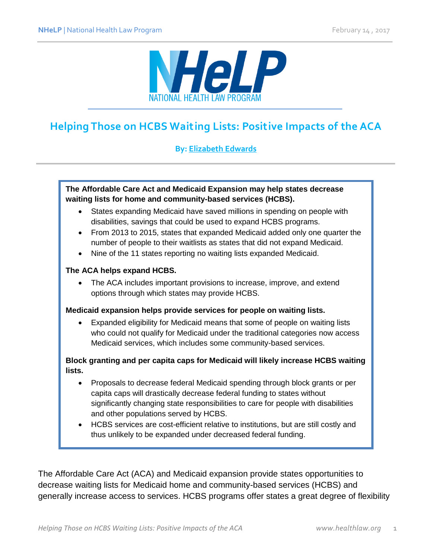

# **Helping Those on HCBS Waiting Lists: Positive Impacts of the ACA**

## **By: [Elizabeth Edwards](http://www.healthlaw.org/about/staff/elizabeth-edwards)**

#### **The Affordable Care Act and Medicaid Expansion may help states decrease waiting lists for home and community-based services (HCBS).**

- States expanding Medicaid have saved millions in spending on people with disabilities, savings that could be used to expand HCBS programs.
- From 2013 to 2015, states that expanded Medicaid added only one quarter the number of people to their waitlists as states that did not expand Medicaid.
- Nine of the 11 states reporting no waiting lists expanded Medicaid.

#### **The ACA helps expand HCBS.**

 The ACA includes important provisions to increase, improve, and extend options through which states may provide HCBS.

#### **Medicaid expansion helps provide services for people on waiting lists.**

 Expanded eligibility for Medicaid means that some of people on waiting lists who could not qualify for Medicaid under the traditional categories now access Medicaid services, which includes some community-based services.

#### **Block granting and per capita caps for Medicaid will likely increase HCBS waiting lists.**

- Proposals to decrease federal Medicaid spending through block grants or per capita caps will drastically decrease federal funding to states without significantly changing state responsibilities to care for people with disabilities and other populations served by HCBS.
- HCBS services are cost-efficient relative to institutions, but are still costly and thus unlikely to be expanded under decreased federal funding.

The Affordable Care Act (ACA) and Medicaid expansion provide states opportunities to decrease waiting lists for Medicaid home and community-based services (HCBS) and generally increase access to services. HCBS programs offer states a great degree of flexibility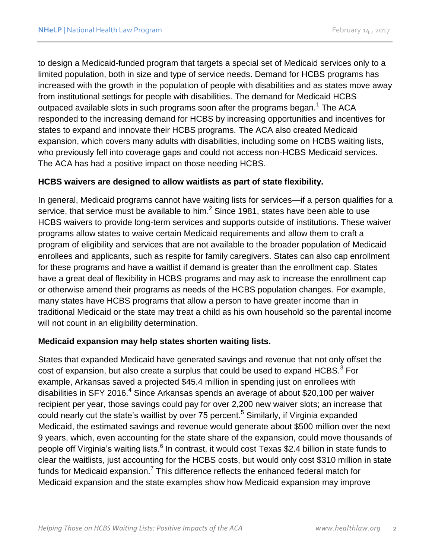<span id="page-1-0"></span>to design a Medicaid-funded program that targets a special set of Medicaid services only to a limited population, both in size and type of service needs. Demand for HCBS programs has increased with the growth in the population of people with disabilities and as states move away from institutional settings for people with disabilities. The demand for Medicaid HCBS outpaced available slots in such programs soon after the programs began.<sup>1</sup> The ACA responded to the increasing demand for HCBS by increasing opportunities and incentives for states to expand and innovate their HCBS programs. The ACA also created Medicaid expansion, which covers many adults with disabilities, including some on HCBS waiting lists, who previously fell into coverage gaps and could not access non-HCBS Medicaid services. The ACA has had a positive impact on those needing HCBS.

### **HCBS waivers are designed to allow waitlists as part of state flexibility.**

In general, Medicaid programs cannot have waiting lists for services—if a person qualifies for a service, that service must be available to him. $^2$  Since 1981, states have been able to use HCBS waivers to provide long-term services and supports outside of institutions. These waiver programs allow states to waive certain Medicaid requirements and allow them to craft a program of eligibility and services that are not available to the broader population of Medicaid enrollees and applicants, such as respite for family caregivers. States can also cap enrollment for these programs and have a waitlist if demand is greater than the enrollment cap. States have a great deal of flexibility in HCBS programs and may ask to increase the enrollment cap or otherwise amend their programs as needs of the HCBS population changes. For example, many states have HCBS programs that allow a person to have greater income than in traditional Medicaid or the state may treat a child as his own household so the parental income will not count in an eligibility determination.

#### **Medicaid expansion may help states shorten waiting lists.**

States that expanded Medicaid have generated savings and revenue that not only offset the cost of expansion, but also create a surplus that could be used to expand HCBS. $^3$  For example, Arkansas saved a projected \$45.4 million in spending just on enrollees with disabilities in SFY 2016.<sup>4</sup> Since Arkansas spends an average of about \$20,100 per waiver recipient per year, those savings could pay for over 2,200 new waiver slots; an increase that could nearly cut the state's waitlist by over 75 percent.<sup>5</sup> Similarly, if Virginia expanded Medicaid, the estimated savings and revenue would generate about \$500 million over the next 9 years, which, even accounting for the state share of the expansion, could move thousands of people off Virginia's waiting lists.<sup>6</sup> In contrast, it would cost Texas \$2.4 billion in state funds to clear the waitlists, just accounting for the HCBS costs, but would only cost \$310 million in state funds for Medicaid expansion.<sup>7</sup> This difference reflects the enhanced federal match for Medicaid expansion and the state examples show how Medicaid expansion may improve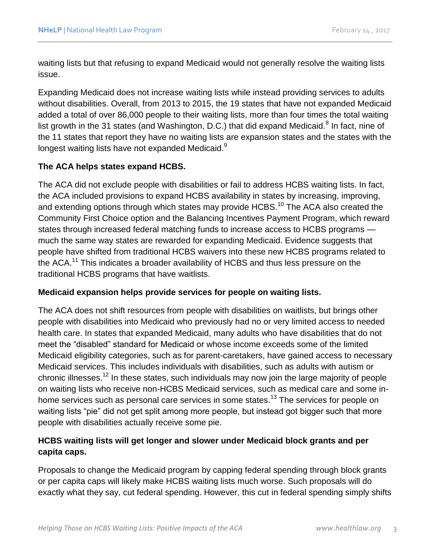waiting lists but that refusing to expand Medicaid would not generally resolve the waiting lists issue.

<span id="page-2-0"></span>Expanding Medicaid does not increase waiting lists while instead providing services to adults without disabilities. Overall, from 2013 to 2015, the 19 states that have not expanded Medicaid added a total of over 86,000 people to their waiting lists, more than four times the total waiting list growth in the 31 states (and Washington, D.C.) that did expand Medicaid.<sup>8</sup> In fact, nine of the 11 states that report they have no waiting lists are expansion states and the states with the longest waiting lists have not expanded Medicaid.<sup>9</sup>

### **The ACA helps states expand HCBS.**

<span id="page-2-1"></span>The ACA did not exclude people with disabilities or fail to address HCBS waiting lists. In fact, the ACA included provisions to expand HCBS availability in states by increasing, improving, and extending options through which states may provide HCBS.<sup>10</sup> The ACA also created the Community First Choice option and the Balancing Incentives Payment Program, which reward states through increased federal matching funds to increase access to HCBS programs much the same way states are rewarded for expanding Medicaid. Evidence suggests that people have shifted from traditional HCBS waivers into these new HCBS programs related to the ACA.<sup>11</sup> This indicates a broader availability of HCBS and thus less pressure on the traditional HCBS programs that have waitlists.

#### **Medicaid expansion helps provide services for people on waiting lists.**

The ACA does not shift resources from people with disabilities on waitlists, but brings other people with disabilities into Medicaid who previously had no or very limited access to needed health care. In states that expanded Medicaid, many adults who have disabilities that do not meet the "disabled" standard for Medicaid or whose income exceeds some of the limited Medicaid eligibility categories, such as for parent-caretakers, have gained access to necessary Medicaid services. This includes individuals with disabilities, such as adults with autism or chronic illnesses.<sup>12</sup> In these states, such individuals may now join the large majority of people on waiting lists who receive non-HCBS Medicaid services, such as medical care and some inhome services such as personal care services in some states.<sup>13</sup> The services for people on waiting lists "pie" did not get split among more people, but instead got bigger such that more people with disabilities actually receive some pie.

## **HCBS waiting lists will get longer and slower under Medicaid block grants and per capita caps.**

Proposals to change the Medicaid program by capping federal spending through block grants or per capita caps will likely make HCBS waiting lists much worse. Such proposals will do exactly what they say, cut federal spending. However, this cut in federal spending simply shifts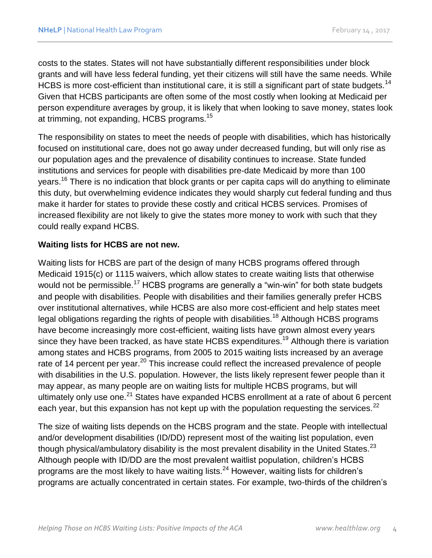costs to the states. States will not have substantially different responsibilities under block grants and will have less federal funding, yet their citizens will still have the same needs. While HCBS is more cost-efficient than institutional care, it is still a significant part of state budgets.<sup>14</sup> Given that HCBS participants are often some of the most costly when looking at Medicaid per person expenditure averages by group, it is likely that when looking to save money, states look at trimming, not expanding, HCBS programs.<sup>15</sup>

The responsibility on states to meet the needs of people with disabilities, which has historically focused on institutional care, does not go away under decreased funding, but will only rise as our population ages and the prevalence of disability continues to increase. State funded institutions and services for people with disabilities pre-date Medicaid by more than 100 years.<sup>16</sup> There is no indication that block grants or per capita caps will do anything to eliminate this duty, but overwhelming evidence indicates they would sharply cut federal funding and thus make it harder for states to provide these costly and critical HCBS services. Promises of increased flexibility are not likely to give the states more money to work with such that they could really expand HCBS.

#### **Waiting lists for HCBS are not new.**

Waiting lists for HCBS are part of the design of many HCBS programs offered through Medicaid 1915(c) or 1115 waivers, which allow states to create waiting lists that otherwise would not be permissible.<sup>17</sup> HCBS programs are generally a "win-win" for both state budgets and people with disabilities. People with disabilities and their families generally prefer HCBS over institutional alternatives, while HCBS are also more cost-efficient and help states meet legal obligations regarding the rights of people with disabilities.<sup>18</sup> Although HCBS programs have become increasingly more cost-efficient, waiting lists have grown almost every years since they have been tracked, as have state HCBS expenditures.<sup>19</sup> Although there is variation among states and HCBS programs, from 2005 to 2015 waiting lists increased by an average rate of 14 percent per year.<sup>20</sup> This increase could reflect the increased prevalence of people with disabilities in the U.S. population. However, the lists likely represent fewer people than it may appear, as many people are on waiting lists for multiple HCBS programs, but will ultimately only use one.<sup>21</sup> States have expanded HCBS enrollment at a rate of about 6 percent each year, but this expansion has not kept up with the population requesting the services. $^{22}$ 

The size of waiting lists depends on the HCBS program and the state. People with intellectual and/or development disabilities (ID/DD) represent most of the waiting list population, even though physical/ambulatory disability is the most prevalent disability in the United States.<sup>23</sup> Although people with ID/DD are the most prevalent waitlist population, children's HCBS programs are the most likely to have waiting lists. $^{24}$  However, waiting lists for children's programs are actually concentrated in certain states. For example, two-thirds of the children's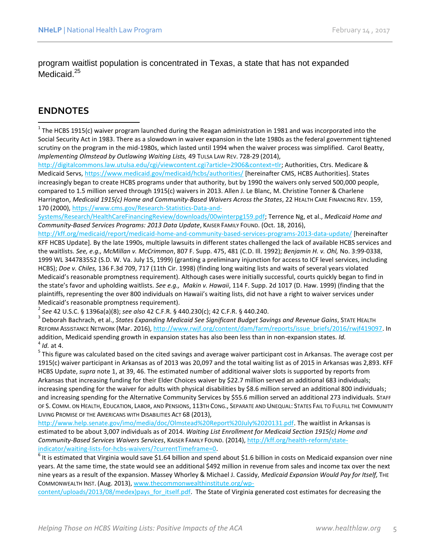program waitlist population is concentrated in Texas, a state that has not expanded Medicaid.<sup>25</sup>

# **ENDNOTES**

 $\overline{a}$ 

 $^1$  The HCBS 1915(c) waiver program launched during the Reagan administration in 1981 and was incorporated into the Social Security Act in 1983. There as a slowdown in waiver expansion in the late 1980s as the federal government tightened scrutiny on the program in the mid-1980s, which lasted until 1994 when the waiver process was simplified. Carol Beatty, *Implementing Olmstead by Outlawing Waiting Lists,* 49 TULSA LAW REV. 728-29 (2014),

[http://digitalcommons.law.utulsa.edu/cgi/viewcontent.cgi?article=2906&context=tlr;](http://digitalcommons.law.utulsa.edu/cgi/viewcontent.cgi?article=2906&context=tlr) Authorities, Ctrs. Medicare & Medicaid Servs,<https://www.medicaid.gov/medicaid/hcbs/authorities/> [hereinafter CMS, HCBS Authorities]. States increasingly began to create HCBS programs under that authority, but by 1990 the waivers only served 500,000 people, compared to 1.5 million served through 1915(c) waivers in 2013. Allen J. Le Blanc, M. Christine Tonner & Charlene Harrington, *Medicaid 1915(c) Home and Community-Based Waivers Across the States*, 22 HEALTH CARE FINANCING REV. 159, 170 (2000)[, https://www.cms.gov/Research-Statistics-Data-and-](https://www.cms.gov/Research-Statistics-Data-and-Systems/Research/HealthCareFinancingReview/downloads/00winterpg159.pdf)

[Systems/Research/HealthCareFinancingReview/downloads/00winterpg159.pdf;](https://www.cms.gov/Research-Statistics-Data-and-Systems/Research/HealthCareFinancingReview/downloads/00winterpg159.pdf) Terrence Ng, et al., *Medicaid Home and Community-Based Services Programs: 2013 Data Update*, KAISER FAMILY FOUND. (Oct. 18, 2016),

<http://kff.org/medicaid/report/medicaid-home-and-community-based-services-programs-2013-data-update/> [hereinafter KFF HCBS Update]. By the late 1990s, multiple lawsuits in different states challenged the lack of available HCBS services and the waitlists. *See, e.g., McMillan v. McCrimmon*, 807 F. Supp. 475, 481 (C.D. Ill. 1992); *Benjamin H. v. Ohl,* No. 3:99-0338, 1999 WL 344783552 (S.D. W. Va. July 15, 1999) (granting a preliminary injunction for access to ICF level services, including HCBS); *Doe v. Chiles,* 136 F.3d 709, 717 (11th Cir. 1998) (finding long waiting lists and waits of several years violated Medicaid's reasonable promptness requirement). Although cases were initially successful, courts quickly began to find in the state's favor and upholding waitlists. *See e.g., Makin v. Hawaii*, 114 F. Supp. 2d 1017 (D. Haw. 1999) (finding that the plaintiffs, representing the over 800 individuals on Hawaii's waiting lists, did not have a right to waiver services under Medicaid's reasonable promptness requirement).

2 *See* 42 U.S.C. § 1396a(a)(8); *see also* 42 C.F.R. § 440.230(c); 42 C.F.R. § 440.240.

3 Deborah Bachrach, et al., *States Expanding Medicaid See Significant Budget Savings and Revenue Gains*, STATE HEALTH REFORM ASSISTANCE NETWORK (Mar. 2016)[, http://www.rwjf.org/content/dam/farm/reports/issue\\_briefs/2016/rwjf419097.](http://www.rwjf.org/content/dam/farm/reports/issue_briefs/2016/rwjf419097) In addition, Medicaid spending growth in expansion states has also been less than in non-expansion states. *Id.* 4 *Id.* at 4.

<sup>5</sup> This figure was calculated based on the cited savings and average waiver participant cost in Arkansas. The average cost per 1915(c) waiver participant in Arkansas as of 2013 was 20,097 and the total waiting list as of 2015 in Arkansas was 2,893. KFF HCBS Update, *supra* note [1,](#page-1-0) at 39, 46. The estimated number of additional waiver slots is supported by reports from Arkansas that increasing funding for their Elder Choices waiver by \$22.7 million served an additional 683 individuals; increasing spending for the waiver for adults with physical disabilities by \$8.6 million served an additional 800 individuals; and increasing spending for the Alternative Community Services by \$55.6 million served an additional 273 individuals. STAFF OF S. COMM. ON HEALTH, EDUCATION, LABOR, AND PENSIONS, 113TH CONG., SEPARATE AND UNEQUAL: STATES FAIL TO FULFILL THE COMMUNITY LIVING PROMISE OF THE AMERICANS WITH DISABILITIES ACT 68 (2013),

[http://www.help.senate.gov/imo/media/doc/Olmstead%20Report%20July%2020131.pdf.](http://www.help.senate.gov/imo/media/doc/Olmstead%20Report%20July%2020131.pdf) The waitlist in Arkansas is estimated to be about 3,007 individuals as of 2014. *Waiting List Enrollment for Medicaid Section 1915(c) Home and Community-Based Services Waivers Services*, KAISER FAMILY FOUND. (2014), [http://kff.org/health-reform/state](http://kff.org/health-reform/state-indicator/waiting-lists-for-hcbs-waivers/?currentTimeframe=0)[indicator/waiting-lists-for-hcbs-waivers/?currentTimeframe=0.](http://kff.org/health-reform/state-indicator/waiting-lists-for-hcbs-waivers/?currentTimeframe=0)

 $^6$  It is estimated that Virginia would save \$1.64 billion and spend about \$1.6 billion in costs on Medicaid expansion over nine years. At the same time, the state would see an additional \$492 million in revenue from sales and income tax over the next nine years as a result of the expansion. Massey Whorley & Michael J. Cassidy, *Medicaid Expansion Would Pay for Itself,* THE COMMONWEALTH INST. (Aug. 2013)[, www.thecommonwealthinstitute.org/wp-](http://www.thecommonwealthinstitute.org/wp-content/uploads/2013/08/medex)pays_for_itself.pdf)

[content/uploads/2013/08/medex\)pays\\_for\\_itself.pdf.](http://www.thecommonwealthinstitute.org/wp-content/uploads/2013/08/medex)pays_for_itself.pdf) The State of Virginia generated cost estimates for decreasing the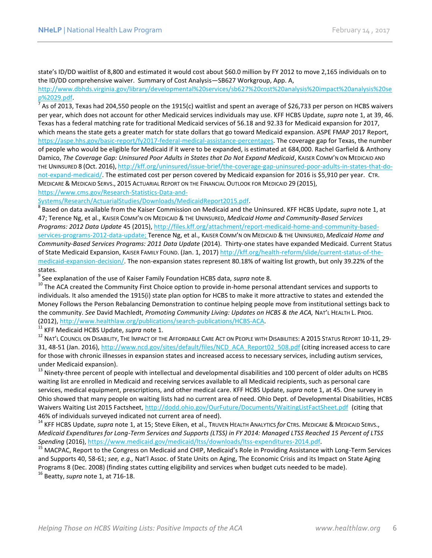state's ID/DD waitlist of 8,800 and estimated it would cost about \$60.0 million by FY 2012 to move 2,165 individuals on to the ID/DD comprehensive waiver. Summary of Cost Analysis—SB627 Workgroup, App. A,

[http://www.dbhds.virginia.gov/library/developmental%20services/sb627%20cost%20analysis%20impact%20analysis%20se](http://www.dbhds.virginia.gov/library/developmental%20services/sb627%20cost%20analysis%20impact%20analysis%20sep%2029.pdf) [p%2029.pdf.](http://www.dbhds.virginia.gov/library/developmental%20services/sb627%20cost%20analysis%20impact%20analysis%20sep%2029.pdf)

 $^7$  As of 2013, Texas had 204,550 people on the 1915(c) waitlist and spent an average of \$26,733 per person on HCBS waivers per year, which does not account for other Medicaid services individuals may use. KFF HCBS Update, *supra* note 1, at 39, 46. Texas has a federal matching rate for traditional Medicaid services of 56.18 and 92.33 for Medicaid expansion for 2017, which means the state gets a greater match for state dollars that go toward Medicaid expansion. ASPE FMAP 2017 Report, [https://aspe.hhs.gov/basic-report/fy2017-federal-medical-assistance-percentages.](https://aspe.hhs.gov/basic-report/fy2017-federal-medical-assistance-percentages) The coverage gap for Texas, the number of people who would be eligible for Medicaid if it were to be expanded, is estimated at 684,000. Rachel Garfield & Anthony Damico, *The Coverage Gap: Uninsured Poor Adults in States that Do Not Expand Medicaid*, KAISER COMM'N ON MEDICAID AND THE UNINSURED 8 (Oct. 2016), [http://kff.org/uninsured/issue-brief/the-coverage-gap-uninsured-poor-adults-in-states-that-do](http://kff.org/uninsured/issue-brief/the-coverage-gap-uninsured-poor-adults-in-states-that-do-not-expand-medicaid/)[not-expand-medicaid/.](http://kff.org/uninsured/issue-brief/the-coverage-gap-uninsured-poor-adults-in-states-that-do-not-expand-medicaid/) The estimated cost per person covered by Medicaid expansion for 2016 is \$5,910 per year. CTR. MEDICARE & MEDICAID SERVS., 2015 ACTUARIAL REPORT ON THE FINANCIAL OUTLOOK FOR MEDICAID 29 (2015), [https://www.cms.gov/Research-Statistics-Data-and-](https://www.cms.gov/Research-Statistics-Data-and-Systems/Research/ActuarialStudies/Downloads/MedicaidReport2015.pdf)

[Systems/Research/ActuarialStudies/Downloads/MedicaidReport2015.pdf.](https://www.cms.gov/Research-Statistics-Data-and-Systems/Research/ActuarialStudies/Downloads/MedicaidReport2015.pdf)

8 Based on data available from the Kaiser Commission on Medicaid and the Uninsured. KFF HCBS Update, *supra* not[e 1,](#page-1-0) at 47; Terence Ng, et al., KAISER COMM'N ON MEDICAID & THE UNINSURED, *Medicaid Home and Community-Based Services Programs: 2012 Data Update* 45 (2015), [http://files.kff.org/attachment/report-medicaid-home-and-community-based](http://files.kff.org/attachment/report-medicaid-home-and-community-based-services-programs-2012-data-update)[services-programs-2012-data-update;](http://files.kff.org/attachment/report-medicaid-home-and-community-based-services-programs-2012-data-update) Terence Ng, et al., KAISER COMM'N ON MEDICAID & THE UNINSURED, *Medicaid Home and Community-Based Services Programs: 2011 Data Update* (2014). Thirty-one states have expanded Medicaid. Current Status of State Medicaid Expansion, KAISER FAMILY FOUND. (Jan. 1, 2017) [http://kff.org/health-reform/slide/current-status-of-the](http://kff.org/health-reform/slide/current-status-of-the-medicaid-expansion-decision/)[medicaid-expansion-decision/.](http://kff.org/health-reform/slide/current-status-of-the-medicaid-expansion-decision/) The non-expansion states represent 80.18% of waiting list growth, but only 39.22% of the states.

9 See explanation of the use of Kaiser Family Foundation HCBS data, *supra* not[e 8.](#page-2-0)

<sup>10</sup> The ACA created the Community First Choice option to provide in-home personal attendant services and supports to individuals. It also amended the 1915(i) state plan option for HCBS to make it more attractive to states and extended the Money Follows the Person Rebalancing Demonstration to continue helping people move from institutional settings back to the community. *See* David Machledt, *Promoting Community Living: Updates on HCBS & the ACA,* NAT'L HEALTH L. PROG. (2012), [http://www.healthlaw.org/publications/search-publications/HCBS-ACA.](http://www.healthlaw.org/publications/search-publications/HCBS-ACA)

<sup>11</sup> KFF Medicaid HCBS Update, *supra* note [1.](#page-1-0)

<sup>12</sup> NAT'L COUNCIL ON DISABILITY, THE IMPACT OF THE AFFORDABLE CARE ACT ON PEOPLE WITH DISABILITIES: A 2015 STATUS REPORT 10-11, 29-31, 48-51 (Jan. 2016)[, http://www.ncd.gov/sites/default/files/NCD\\_ACA\\_Report02\\_508.pdf](http://www.ncd.gov/sites/default/files/NCD_ACA_Report02_508.pdf) (citing increased access to care for those with chronic illnesses in expansion states and increased access to necessary services, including autism services, under Medicaid expansion).

 $13$  Ninety-three percent of people with intellectual and developmental disabilities and 100 percent of older adults on HCBS waiting list are enrolled in Medicaid and receiving services available to all Medicaid recipients, such as personal care services, medical equipment, prescriptions, and other medical care. KFF HCBS Update, *supra* note [1,](#page-1-0) at 45. One survey in Ohio showed that many people on waiting lists had no current area of need. Ohio Dept. of Developmental Disabilities, HCBS Waivers Waiting List 2015 Factsheet[, http://dodd.ohio.gov/OurFuture/Documents/WaitingListFactSheet.pdf](http://dodd.ohio.gov/OurFuture/Documents/WaitingListFactSheet.pdf) (citing that 46% of individuals surveyed indicated not current area of need).

<sup>14</sup> KFF HCBS Update, *supra* note 1, at 15; Steve Eiken, et al., TRUVEN HEALTH ANALYTICS *for* CTRS. MEDICARE & MEDICAID SERVS., *Medicaid Expenditures for Long-Term Services and Supports (LTSS) in FY 2014: Managed LTSS Reached 15 Percent of LTSS Spending* (2016)[, https://www.medicaid.gov/medicaid/ltss/downloads/ltss-expenditures-2014.pdf.](https://www.medicaid.gov/medicaid/ltss/downloads/ltss-expenditures-2014.pdf)

<sup>15</sup> MACPAC, Report to the Congress on Medicaid and CHIP, Medicaid's Role in Providing Assistance with Long-Term Services and Supports 40, 58-61; *see, e.g.,* Nat'l Assoc. of State Units on Aging, The Economic Crisis and its Impact on State Aging Programs 8 (Dec. 2008) (finding states cutting eligibility and services when budget cuts needed to be made).

<sup>16</sup> Beatty, *supra* note [1,](#page-1-0) at 716-18.